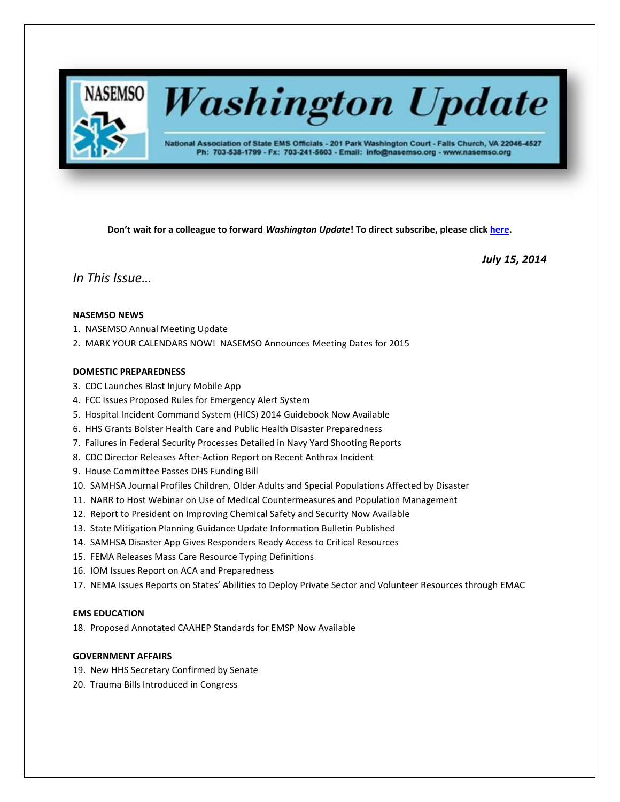

# **Washington Update**

National Association of State EMS Officials - 201 Park Washington Court - Falls Church, VA 22046-4527 Ph: 703-538-1799 - Fx: 703-241-5603 - Email: info@nasemso.org - www.nasemso.org

**Don't wait for a colleague to forward** *Washington Update***! To direct subscribe, please click [here.](http://lists.nasemso.org/read/all_forums/subscribe?name=wu%20)**

*July 15, 2014*

*In This Issue…*

## **NASEMSO NEWS**

- 1. NASEMSO Annual Meeting Update
- 2. MARK YOUR CALENDARS NOW! NASEMSO Announces Meeting Dates for 2015

## **DOMESTIC PREPAREDNESS**

- 3. CDC Launches Blast Injury Mobile App
- 4. FCC Issues Proposed Rules for Emergency Alert System
- 5. Hospital Incident Command System (HICS) 2014 Guidebook Now Available
- 6. HHS Grants Bolster Health Care and Public Health Disaster Preparedness
- 7. Failures in Federal Security Processes Detailed in Navy Yard Shooting Reports
- 8. CDC Director Releases After-Action Report on Recent Anthrax Incident
- 9. House Committee Passes DHS Funding Bill
- 10. SAMHSA Journal Profiles Children, Older Adults and Special Populations Affected by Disaster
- 11. NARR to Host Webinar on Use of Medical Countermeasures and Population Management
- 12. Report to President on Improving Chemical Safety and Security Now Available
- 13. State Mitigation Planning Guidance Update Information Bulletin Published
- 14. SAMHSA Disaster App Gives Responders Ready Access to Critical Resources
- 15. FEMA Releases Mass Care Resource Typing Definitions
- 16. IOM Issues Report on ACA and Preparedness
- 17. NEMA Issues Reports on States' Abilities to Deploy Private Sector and Volunteer Resources through EMAC

## **EMS EDUCATION**

18. Proposed Annotated CAAHEP Standards for EMSP Now Available

## **GOVERNMENT AFFAIRS**

- 19. New HHS Secretary Confirmed by Senate
- 20. Trauma Bills Introduced in Congress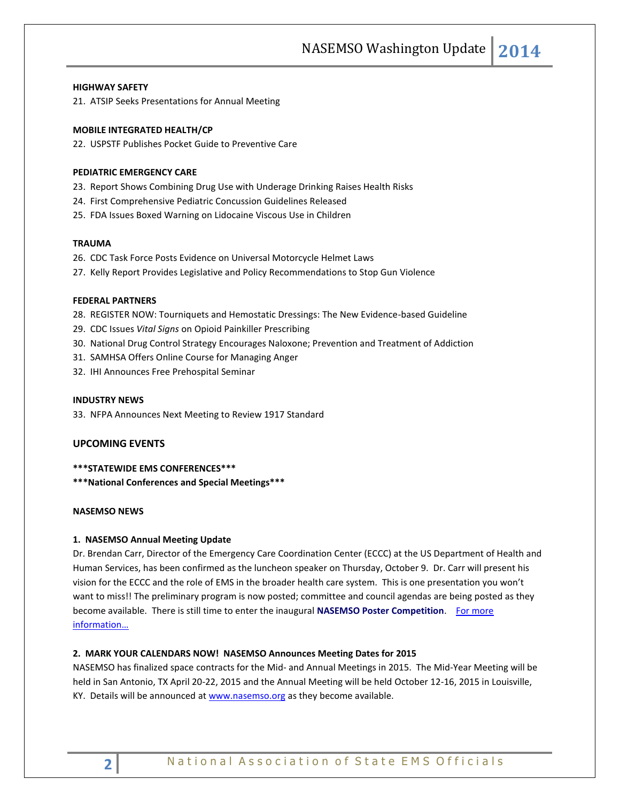## **HIGHWAY SAFETY**

21. ATSIP Seeks Presentations for Annual Meeting

#### **MOBILE INTEGRATED HEALTH/CP**

22. USPSTF Publishes Pocket Guide to Preventive Care

## **PEDIATRIC EMERGENCY CARE**

- 23. Report Shows Combining Drug Use with Underage Drinking Raises Health Risks
- 24. First Comprehensive Pediatric Concussion Guidelines Released
- 25. FDA Issues Boxed Warning on Lidocaine Viscous Use in Children

### **TRAUMA**

- 26. CDC Task Force Posts Evidence on Universal Motorcycle Helmet Laws
- 27. Kelly Report Provides Legislative and Policy Recommendations to Stop Gun Violence

## **FEDERAL PARTNERS**

- 28. REGISTER NOW: Tourniquets and Hemostatic Dressings: The New Evidence-based Guideline
- 29. CDC Issues *Vital Signs* on Opioid Painkiller Prescribing
- 30. National Drug Control Strategy Encourages Naloxone; Prevention and Treatment of Addiction
- 31. SAMHSA Offers Online Course for Managing Anger
- 32. IHI Announces Free Prehospital Seminar

#### **INDUSTRY NEWS**

33. NFPA Announces Next Meeting to Review 1917 Standard

#### **UPCOMING EVENTS**

## **\*\*\*STATEWIDE EMS CONFERENCES\*\*\***

**\*\*\*National Conferences and Special Meetings\*\*\***

#### **NASEMSO NEWS**

#### **1. NASEMSO Annual Meeting Update**

Dr. Brendan Carr, Director of the Emergency Care Coordination Center (ECCC) at the US Department of Health and Human Services, has been confirmed as the luncheon speaker on Thursday, October 9. Dr. Carr will present his vision for the ECCC and the role of EMS in the broader health care system. This is one presentation you won't want to miss!! The preliminary program is now posted; committee and council agendas are being posted as they become available. There is still time to enter the inaugural **NASEMSO Poster Competition**. [For more](http://www.nasemso.org/Meetings/Annual/AnnualMeeting2014.asp)  [information…](http://www.nasemso.org/Meetings/Annual/AnnualMeeting2014.asp)

#### **2. MARK YOUR CALENDARS NOW! NASEMSO Announces Meeting Dates for 2015**

NASEMSO has finalized space contracts for the Mid- and Annual Meetings in 2015. The Mid-Year Meeting will be held in San Antonio, TX April 20-22, 2015 and the Annual Meeting will be held October 12-16, 2015 in Louisville, KY. Details will be announced at [www.nasemso.org](http://www.nasemso.org/) as they become available.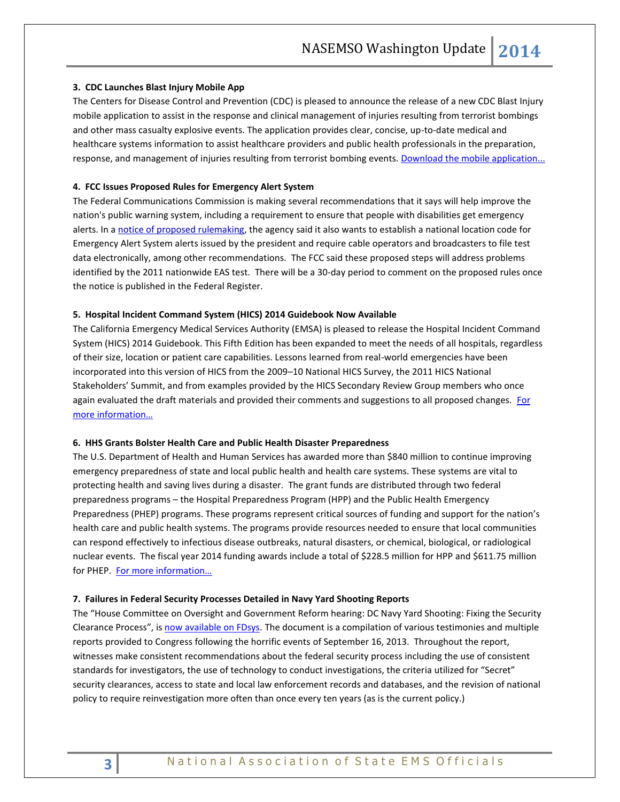## **3. CDC Launches Blast Injury Mobile App**

The Centers for Disease Control and Prevention (CDC) is pleased to announce the release of a new CDC Blast Injury mobile application to assist in the response and clinical management of injuries resulting from terrorist bombings and other mass casualty explosive events. The application provides clear, concise, up-to-date medical and healthcare systems information to assist healthcare providers and public health professionals in the preparation, response, and management of injuries resulting from terrorist bombing events. [Download the mobile application...](https://itunes.apple.com/au/app/cdc-blast-injury/id890434999?mt=8&ign-mpt=uo%3D2.)

#### **4. FCC Issues Proposed Rules for Emergency Alert System**

The Federal Communications Commission is making several recommendations that it says will help improve the nation's public warning system, including a requirement to ensure that people with disabilities get emergency alerts. In [a notice of proposed rulemaking,](http://www.fcc.gov/document/review-emergency-alert-system-0) the agency said it also wants to establish a national location code for Emergency Alert System alerts issued by the president and require cable operators and broadcasters to file test data electronically, among other recommendations. The FCC said these proposed steps will address problems identified by the 2011 nationwide EAS test. There will be a 30-day period to comment on the proposed rules once the notice is published in the Federal Register.

#### **5. Hospital Incident Command System (HICS) 2014 Guidebook Now Available**

The California Emergency Medical Services Authority (EMSA) is pleased to release the Hospital Incident Command System (HICS) 2014 Guidebook. This Fifth Edition has been expanded to meet the needs of all hospitals, regardless of their size, location or patient care capabilities. Lessons learned from real-world emergencies have been incorporated into this version of HICS from the 2009–10 National HICS Survey, the 2011 HICS National Stakeholders' Summit, and from examples provided by the HICS Secondary Review Group members who once again evaluated the draft materials and provided their comments and suggestions to all proposed changes. For [more information…](http://www.emsa.ca.gov/disaster_medical_services_division_hospital_incident_command_system_resources)

#### **6. HHS Grants Bolster Health Care and Public Health Disaster Preparedness**

The U.S. Department of Health and Human Services has awarded more than \$840 million to continue improving emergency preparedness of state and local public health and health care systems. These systems are vital to protecting health and saving lives during a disaster. The grant funds are distributed through two federal preparedness programs – the Hospital Preparedness Program (HPP) and the Public Health Emergency Preparedness (PHEP) programs. These programs represent critical sources of funding and support for the nation's health care and public health systems. The programs provide resources needed to ensure that local communities can respond effectively to infectious disease outbreaks, natural disasters, or chemical, biological, or radiological nuclear events. The fiscal year 2014 funding awards include a total of \$228.5 million for HPP and \$611.75 million for PHEP. [For more information…](http://www.hhs.gov/news/press/2014pres/07/20140701a.html)

#### **7. Failures in Federal Security Processes Detailed in Navy Yard Shooting Reports**

The "House Committee on Oversight and Government Reform hearing: DC Navy Yard Shooting: Fixing the Security Clearance Process", i[s now available on FDsys.](http://www.gpo.gov/fdsys/pkg/CHRG-113hhrg87892/pdf/CHRG-113hhrg87892.pdf) The document is a compilation of various testimonies and multiple reports provided to Congress following the horrific events of September 16, 2013. Throughout the report, witnesses make consistent recommendations about the federal security process including the use of consistent standards for investigators, the use of technology to conduct investigations, the criteria utilized for "Secret" security clearances, access to state and local law enforcement records and databases, and the revision of national policy to require reinvestigation more often than once every ten years (as is the current policy.)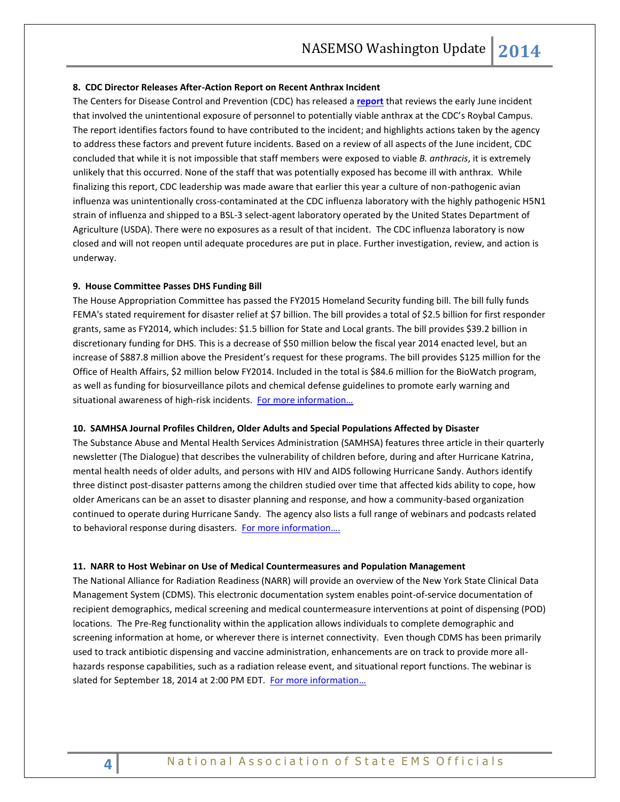#### **8. CDC Director Releases After-Action Report on Recent Anthrax Incident**

The Centers for Disease Control and Prevention (CDC) has released a **[report](http://www.cdc.gov/od/science/integrity/)** that reviews the early June incident that involved the unintentional exposure of personnel to potentially viable anthrax at the CDC's Roybal Campus. The report identifies factors found to have contributed to the incident; and highlights actions taken by the agency to address these factors and prevent future incidents. Based on a review of all aspects of the June incident, CDC concluded that while it is not impossible that staff members were exposed to viable *B. anthracis*, it is extremely unlikely that this occurred. None of the staff that was potentially exposed has become ill with anthrax. While finalizing this report, CDC leadership was made aware that earlier this year a culture of non-pathogenic avian influenza was unintentionally cross-contaminated at the CDC influenza laboratory with the highly pathogenic H5N1 strain of influenza and shipped to a BSL-3 select-agent laboratory operated by the United States Department of Agriculture (USDA). There were no exposures as a result of that incident. The CDC influenza laboratory is now closed and will not reopen until adequate procedures are put in place. Further investigation, review, and action is underway.

#### **9. House Committee Passes DHS Funding Bill**

The House Appropriation Committee has passed the FY2015 Homeland Security funding bill. The bill fully funds FEMA's stated requirement for disaster relief at \$7 billion. The bill provides a total of \$2.5 billion for first responder grants, same as FY2014, which includes: \$1.5 billion for State and Local grants. The bill provides \$39.2 billion in discretionary funding for DHS. This is a decrease of \$50 million below the fiscal year 2014 enacted level, but an increase of \$887.8 million above the President's request for these programs. The bill provides \$125 million for the Office of Health Affairs, \$2 million below FY2014. Included in the total is \$84.6 million for the BioWatch program, as well as funding for biosurveillance pilots and chemical defense guidelines to promote early warning and situational awareness of high-risk incidents. For more information...

#### **10. SAMHSA Journal Profiles Children, Older Adults and Special Populations Affected by Disaster**

The Substance Abuse and Mental Health Services Administration (SAMHSA) features three article in their quarterly newsletter (The Dialogue) that describes the vulnerability of children before, during and after Hurricane Katrina, mental health needs of older adults, and persons with HIV and AIDS following Hurricane Sandy. Authors identify three distinct post-disaster patterns among the children studied over time that affected kids ability to cope, how older Americans can be an asset to disaster planning and response, and how a community-based organization continued to operate during Hurricane Sandy. The agency also lists a full range of webinars and podcasts related to behavioral response during disasters. For more information....

#### **11. NARR to Host Webinar on Use of Medical Countermeasures and Population Management**

The National Alliance for Radiation Readiness (NARR) will provide an overview of the New York State Clinical Data Management System (CDMS). This electronic documentation system enables point-of-service documentation of recipient demographics, medical screening and medical countermeasure interventions at point of dispensing (POD) locations. The Pre-Reg functionality within the application allows individuals to complete demographic and screening information at home, or wherever there is internet connectivity. Even though CDMS has been primarily used to track antibiotic dispensing and vaccine administration, enhancements are on track to provide more allhazards response capabilities, such as a radiation release event, and situational report functions. The webinar is slated for September 18, 2014 at 2:00 PM EDT. [For more information](https://cc.readytalk.com/cc/s/registrations/new?cid=r0d1tmbul3s3)...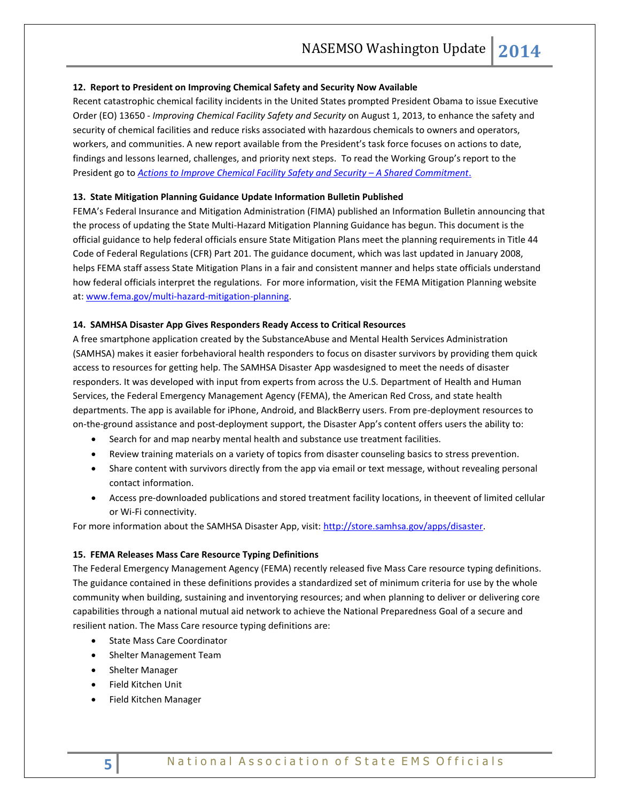## **12. Report to President on Improving Chemical Safety and Security Now Available**

Recent catastrophic chemical facility incidents in the United States prompted President Obama to issue Executive Order (EO) 13650 *- Improving Chemical Facility Safety and Security* on August 1, 2013, to enhance the safety and security of chemical facilities and reduce risks associated with hazardous chemicals to owners and operators, workers, and communities. A new report available from the President's task force focuses on actions to date, findings and lessons learned, challenges, and priority next steps. To read the Working Group's report to the President go to **[Actions to Improve Chemical Facility Safety and Security](http://www.osha.gov/chemicalexecutiveorder/) - A Shared Commitment.** 

## **13. State Mitigation Planning Guidance Update Information Bulletin Published**

FEMA's Federal Insurance and Mitigation Administration (FIMA) published an Information Bulletin announcing that the process of updating the State Multi-Hazard Mitigation Planning Guidance has begun. This document is the official guidance to help federal officials ensure State Mitigation Plans meet the planning requirements in Title 44 Code of Federal Regulations (CFR) Part 201. The guidance document, which was last updated in January 2008, helps FEMA staff assess State Mitigation Plans in a fair and consistent manner and helps state officials understand how federal officials interpret the regulations. For more information, visit the FEMA Mitigation Planning website at: [www.fema.gov/multi-hazard-mitigation-planning.](http://www.fema.gov/multi-hazard-mitigation-planning) 

#### **14. SAMHSA Disaster App Gives Responders Ready Access to Critical Resources**

A free smartphone application created by the SubstanceAbuse and Mental Health Services Administration (SAMHSA) makes it easier forbehavioral health responders to focus on disaster survivors by providing them quick access to resources for getting help. The SAMHSA Disaster App wasdesigned to meet the needs of disaster responders. It was developed with input from experts from across the U.S. Department of Health and Human Services, the Federal Emergency Management Agency (FEMA), the American Red Cross, and state health departments. The app is available for iPhone, Android, and BlackBerry users. From pre-deployment resources to on-the-ground assistance and post-deployment support, the Disaster App's content offers users the ability to:

- Search for and map nearby mental health and substance use treatment facilities.
- Review training materials on a variety of topics from disaster counseling basics to stress prevention.
- Share content with survivors directly from the app via email or text message, without revealing personal contact information.
- Access pre-downloaded publications and stored treatment facility locations, in theevent of limited cellular or Wi-Fi connectivity.

For more information about the SAMHSA Disaster App, visit[: http://store.samhsa.gov/apps/disaster.](http://store.samhsa.gov/apps/disaster)

## **15. FEMA Releases Mass Care Resource Typing Definitions**

The Federal Emergency Management Agency (FEMA) recently released five Mass Care resource typing definitions. The guidance contained in these definitions provides a standardized set of minimum criteria for use by the whole community when building, sustaining and inventorying resources; and when planning to deliver or delivering core capabilities through a national mutual aid network to achieve the National Preparedness Goal of a secure and resilient nation. The Mass Care resource typing definitions are:

- State Mass Care Coordinator
- Shelter Management Team
- Shelter Manager
- Field Kitchen Unit
- Field Kitchen Manager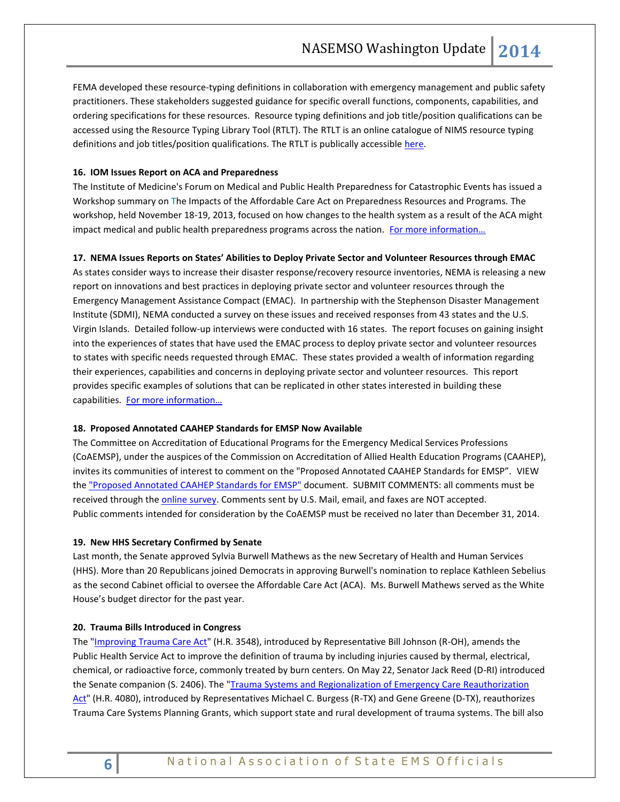FEMA developed these resource-typing definitions in collaboration with emergency management and public safety practitioners. These stakeholders suggested guidance for specific overall functions, components, capabilities, and ordering specifications for these resources. Resource typing definitions and job title/position qualifications can be accessed using the Resource Typing Library Tool (RTLT). The RTLT is an online catalogue of NIMS resource typing definitions and job titles/position qualifications. The RTLT is publically accessible [here.](http://www.fema.gov/resource-management)

## **16. IOM Issues Report on ACA and Preparedness**

The Institute of Medicine's Forum on Medical and Public Health Preparedness for Catastrophic Events has issued a Workshop summary on The Impacts of the Affordable Care Act on Preparedness Resources and Programs. The workshop, held November 18-19, 2013, focused on how changes to the health system as a result of the ACA might impact medical and public health preparedness programs across the nation. For more information...

## **17. NEMA Issues Reports on States' Abilities to Deploy Private Sector and Volunteer Resources through EMAC**

As states consider ways to increase their disaster response/recovery resource inventories, NEMA is releasing a new report on innovations and best practices in deploying private sector and volunteer resources through the Emergency Management Assistance Compact (EMAC). In partnership with the Stephenson Disaster Management Institute (SDMI), NEMA conducted a survey on these issues and received responses from 43 states and the U.S. Virgin Islands. Detailed follow-up interviews were conducted with 16 states. The report focuses on gaining insight into the experiences of states that have used the EMAC process to deploy private sector and volunteer resources to states with specific needs requested through EMAC. These states provided a wealth of information regarding their experiences, capabilities and concerns in deploying private sector and volunteer resources. This report provides specific examples of solutions that can be replicated in other states interested in building these capabilities. For more information...

#### **18. Proposed Annotated CAAHEP Standards for EMSP Now Available**

The Committee on Accreditation of Educational Programs for the Emergency Medical Services Professions (CoAEMSP), under the auspices of the Commission on Accreditation of Allied Health Education Programs (CAAHEP), invites its communities of interest to comment on the "Proposed Annotated CAAHEP Standards for EMSP". VIEW the ["Proposed Annotated CAAHEP Standards for EMSP"](http://origin.library.constantcontact.com/download/get/file/1103098668638-480/Proposed+Annotated+CAAHEP+Standards+for+EMSP+20140602.pdf) document. SUBMIT COMMENTS: all comments must be received through th[e online survey.](http://www.surveymonkey.com/s/Standards_Comment) Comments sent by U.S. Mail, email, and faxes are NOT accepted. Public comments intended for consideration by the CoAEMSP must be received no later than December 31, 2014.

#### **19. New HHS Secretary Confirmed by Senate**

Last month, the Senate approved Sylvia Burwell Mathews as the new Secretary of Health and Human Services (HHS). More than 20 Republicans joined Democrats in approving Burwell's nomination to replace Kathleen Sebelius as the second Cabinet official to oversee the Affordable Care Act (ACA). Ms. Burwell Mathews served as the White House's budget director for the past year.

#### **20. Trauma Bills Introduced in Congress**

The ["Improving Trauma Care Act"](thomas.loc.gov/cgi-bin/bdquery/z?d113:HR3548:/) (H.R. 3548), introduced by Representative Bill Johnson (R-OH), amends the Public Health Service Act to improve the definition of trauma by including injuries caused by thermal, electrical, chemical, or radioactive force, commonly treated by burn centers. On May 22, Senator Jack Reed (D-RI) introduced the Senate companion (S. 2406). The "*Trauma Systems and Regionalization of Emergency Care Reauthorization* [Act"](https://beta.congress.gov/113/bills/hr4080/BILLS-113hr4080ih.pdf) (H.R. 4080), introduced by Representatives Michael C. Burgess (R-TX) and Gene Greene (D-TX), reauthorizes Trauma Care Systems Planning Grants, which support state and rural development of trauma systems. The bill also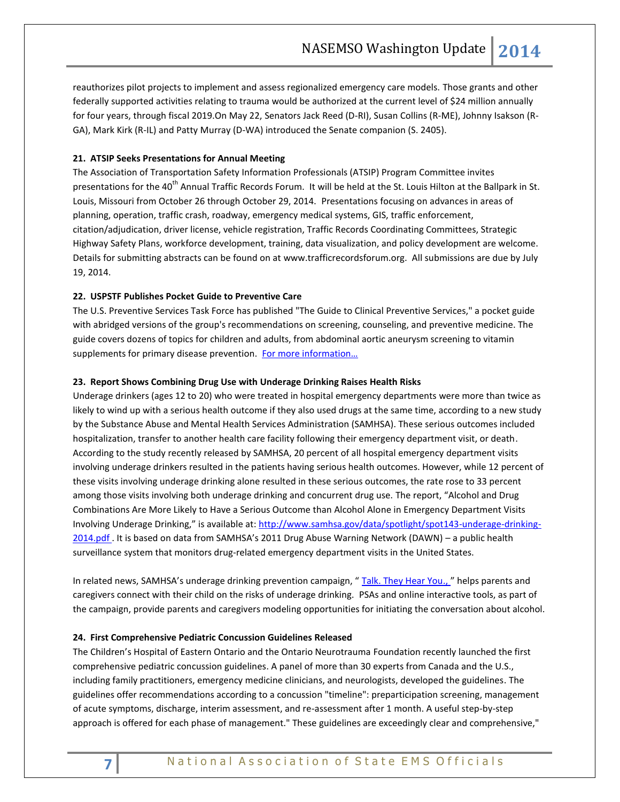reauthorizes pilot projects to implement and assess regionalized emergency care models. Those grants and other federally supported activities relating to trauma would be authorized at the current level of \$24 million annually for four years, through fiscal 2019.On May 22, Senators Jack Reed (D-RI), Susan Collins (R-ME), Johnny Isakson (R-GA), Mark Kirk (R-IL) and Patty Murray (D-WA) introduced the Senate companion (S. 2405).

## **21. ATSIP Seeks Presentations for Annual Meeting**

The Association of Transportation Safety Information Professionals (ATSIP) Program Committee invites presentations for the 40<sup>th</sup> Annual Traffic Records Forum. It will be held at the St. Louis Hilton at the Ballpark in St. Louis, Missouri from October 26 through October 29, 2014. Presentations focusing on advances in areas of planning, operation, traffic crash, roadway, emergency medical systems, GIS, traffic enforcement, citation/adjudication, driver license, vehicle registration, Traffic Records Coordinating Committees, Strategic Highway Safety Plans, workforce development, training, data visualization, and policy development are welcome. Details for submitting abstracts can be found on at [www.trafficrecordsforum.org.](http://trafficrecordsforum.us4.list-manage.com/track/click?u=7eedf475e1ea36bc2ebf9f0d9&id=db330ed983&e=392aa89ba6) All submissions are due by July 19, 2014.

## **22. USPSTF Publishes Pocket Guide to Preventive Care**

The U.S. Preventive Services Task Force has published "The Guide to Clinical Preventive Services," a pocket guide with abridged versions of the group's recommendations on screening, counseling, and preventive medicine. The guide covers dozens of topics for children and adults, from abdominal aortic aneurysm screening to vitamin supplements for primary disease prevention. For more information...

## **23. Report Shows Combining Drug Use with Underage Drinking Raises Health Risks**

Underage drinkers (ages 12 to 20) who were treated in hospital emergency departments were more than twice as likely to wind up with a serious health outcome if they also used drugs at the same time, according to a new study by the Substance Abuse and Mental Health Services Administration (SAMHSA). These serious outcomes included hospitalization, transfer to another health care facility following their emergency department visit, or death. According to the study recently released by SAMHSA, 20 percent of all hospital emergency department visits involving underage drinkers resulted in the patients having serious health outcomes. However, while 12 percent of these visits involving underage drinking alone resulted in these serious outcomes, the rate rose to 33 percent among those visits involving both underage drinking and concurrent drug use. The report, "Alcohol and Drug Combinations Are More Likely to Have a Serious Outcome than Alcohol Alone in Emergency Department Visits Involving Underage Drinking," is available at: [http://www.samhsa.gov/data/spotlight/spot143-underage-drinking-](http://www.samhsa.gov/data/spotlight/spot143-underage-drinking-2014.pdf)[2014.pdf](http://www.samhsa.gov/data/spotlight/spot143-underage-drinking-2014.pdf) . It is based on data from SAMHSA's 2011 Drug Abuse Warning Network (DAWN) – a public health surveillance system that monitors drug-related emergency department visits in the United States.

In related news, SAMHSA's underage drinking prevention campaign, "[Talk. They Hear You.,](http://beta.samhsa.gov/underage-drinking) " helps parents and caregivers connect with their child on the risks of underage drinking. PSAs and online interactive tools, as part of the campaign, provide parents and caregivers modeling opportunities for initiating the conversation about alcohol.

## **24. First Comprehensive Pediatric Concussion Guidelines Released**

The Children's Hospital of Eastern Ontario and the Ontario Neurotrauma Foundation recently launched the first comprehensive pediatric concussion guidelines. A panel of more than 30 experts from Canada and the U.S., including family practitioners, emergency medicine clinicians, and neurologists, developed the guidelines. The guidelines offer recommendations according to a concussion "timeline": preparticipation screening, management of acute symptoms, discharge, interim assessment, and re-assessment after 1 month. A useful step-by-step approach is offered for each phase of management." These guidelines are exceedingly clear and comprehensive,"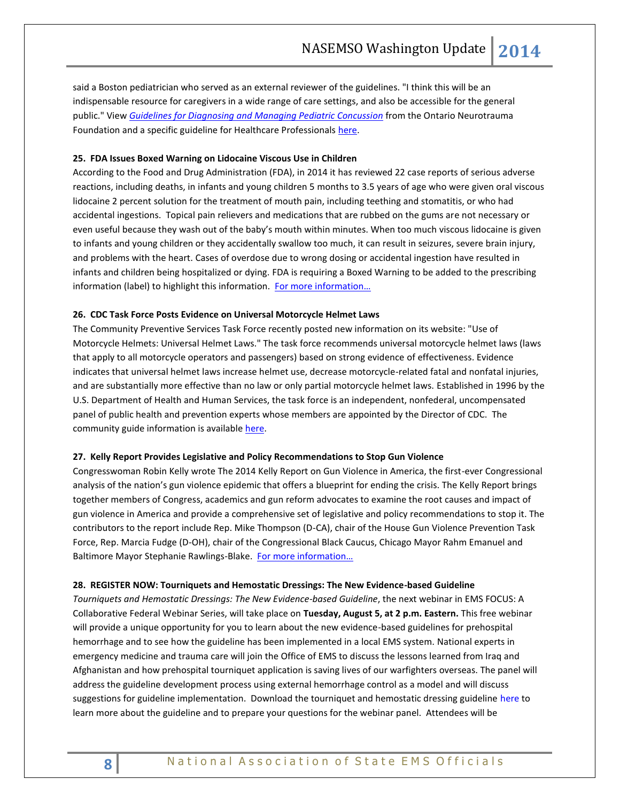said a Boston pediatrician who served as an external reviewer of the guidelines. "I think this will be an indispensable resource for caregivers in a wide range of care settings, and also be accessible for the general public." View *[Guidelines for Diagnosing and Managing Pediatric Concussion](http://onf.org/system/attachments/256/original/GUIDELINES_for_Diagnosing_and_Managing_Pediatric_Concussion_-_MASTER__June_19_FINAL.pdf)* from the Ontario Neurotrauma Foundation and a specific guideline for Healthcare Professionals [here.](http://onf.org/system/attachments/257/original/GUIDELINES_for_Diagnosing_and_Managing_Pediatric_Concussion_-_RECOMMENDATIONS_FOR_HCP__June_19_FINAL.pdf)

### **25. FDA Issues Boxed Warning on Lidocaine Viscous Use in Children**

According to the Food and Drug Administration (FDA), in 2014 it has reviewed 22 case reports of serious adverse reactions, including deaths, in infants and young children 5 months to 3.5 years of age who were given oral viscous lidocaine 2 percent solution for the treatment of mouth pain, including teething and stomatitis, or who had accidental ingestions. Topical pain relievers and medications that are rubbed on the gums are not necessary or even useful because they wash out of the baby's mouth within minutes. When too much viscous lidocaine is given to infants and young children or they accidentally swallow too much, it can result in seizures, severe brain injury, and problems with the heart. Cases of overdose due to wrong dosing or accidental ingestion have resulted in infants and children being hospitalized or dying. FDA is requiring a Boxed Warning to be added to the prescribing information (label) to highlight this information. [For more information…](http://www.fda.gov/Safety/MedWatch/SafetyInformation/SafetyAlertsforHumanMedicalProducts/ucm402790.htm)

#### **26. CDC Task Force Posts Evidence on Universal Motorcycle Helmet Laws**

The Community Preventive Services Task Force recently posted new information on its website: "Use of Motorcycle Helmets: Universal Helmet Laws." The task force recommends universal motorcycle helmet laws (laws that apply to all motorcycle operators and passengers) based on strong evidence of effectiveness. Evidence indicates that universal helmet laws increase helmet use, decrease motorcycle-related fatal and nonfatal injuries, and are substantially more effective than no law or only partial motorcycle helmet laws. Established in 1996 by the U.S. Department of Health and Human Services, the task force is an independent, nonfederal, uncompensated panel of public health and prevention experts whose members are appointed by the Director of CDC. The community guide information is available [here.](http://www.thecommunityguide.org/mvoi/motorcyclehelmets/helmetlaws.html)

#### **27. Kelly Report Provides Legislative and Policy Recommendations to Stop Gun Violence**

Congresswoman Robin Kelly wrote The 2014 Kelly Report on Gun Violence in America, the first-ever Congressional analysis of the nation's gun violence epidemic that offers a blueprint for ending the crisis. The Kelly Report brings together members of Congress, academics and gun reform advocates to examine the root causes and impact of gun violence in America and provide a comprehensive set of legislative and policy recommendations to stop it. The contributors to the report include Rep. Mike Thompson (D-CA), chair of the House Gun Violence Prevention Task Force, Rep. Marcia Fudge (D-OH), chair of the Congressional Black Caucus, Chicago Mayor Rahm Emanuel and Baltimore Mayor Stephanie Rawlings-Blake. For more information...

#### **28. REGISTER NOW: Tourniquets and Hemostatic Dressings: The New Evidence-based Guideline**

*Tourniquets and Hemostatic Dressings: The New Evidence-based Guideline*, the next webinar in EMS FOCUS: A Collaborative Federal Webinar Series, will take place on **Tuesday, August 5, at 2 p.m. Eastern.** This free webinar will provide a unique opportunity for you to learn about the new evidence-based guidelines for prehospital hemorrhage and to see how the guideline has been implemented in a local EMS system. National experts in emergency medicine and trauma care will join the Office of EMS to discuss the lessons learned from Iraq and Afghanistan and how prehospital tourniquet application is saving lives of our warfighters overseas. The panel will address the guideline development process using external hemorrhage control as a model and will discuss suggestions for guideline implementation. Download the tourniquet and hemostatic dressing guideline [here](http://informahealthcare.com/toc/pec/18/2) to learn more about the guideline and to prepare your questions for the webinar panel. Attendees will be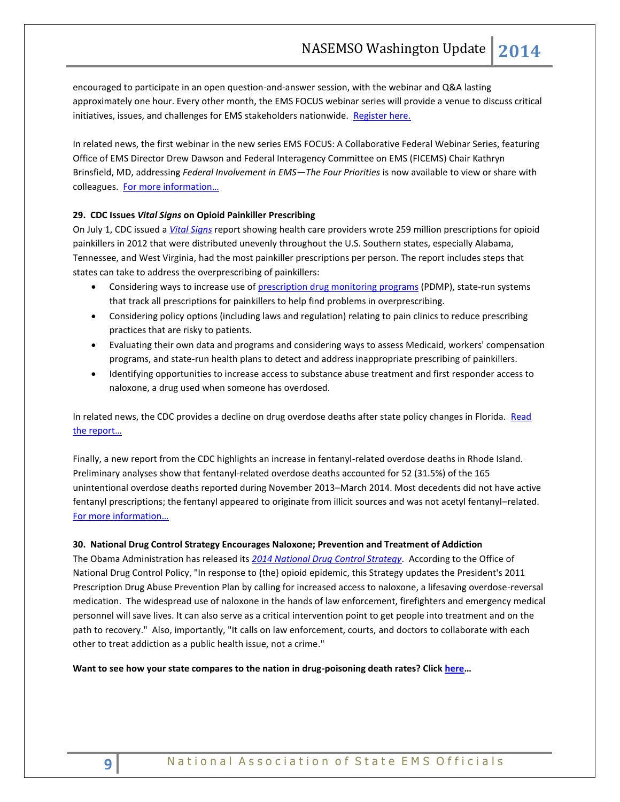encouraged to participate in an open question-and-answer session, with the webinar and Q&A lasting approximately one hour. Every other month, the EMS FOCUS webinar series will provide a venue to discuss critical initiatives, issues, and challenges for EMS stakeholders nationwide. [Register here.](https://redflash.clickwebinar.com/EMSFOCUS_AUG5_EBG/register)

In related news, the first webinar in the new series EMS FOCUS: A Collaborative Federal Webinar Series, featuring Office of EMS Director Drew Dawson and Federal Interagency Committee on EMS (FICEMS) Chair Kathryn Brinsfield, MD, addressing *Federal Involvement in EMS—The Four Priorities* is now available to view or share with colleagues. [For more information…](http://www.ems.gov/ems-focus.html)

## **29. CDC Issues** *Vital Signs* **on Opioid Painkiller Prescribing**

On July 1, CDC issued a *[Vital Signs](http://www.cdc.gov/mmwr/preview/mmwrhtml/mm6326a2.htm?s_cid=mm6326a2_w)* report showing health care providers wrote 259 million prescriptions for opioid painkillers in 2012 that were distributed unevenly throughout the U.S. Southern states, especially Alabama, Tennessee, and West Virginia, had the most painkiller prescriptions per person. The report includes steps that states can take to address the overprescribing of painkillers:

- Considering ways to increase use of [prescription drug monitoring programs](http://www.cdc.gov/HomeandRecreationalSafety/rxbrief/index.html) (PDMP), state-run systems that track all prescriptions for painkillers to help find problems in overprescribing.
- Considering policy options (including laws and regulation) relating to pain clinics to reduce prescribing practices that are risky to patients.
- Evaluating their own data and programs and considering ways to assess Medicaid, workers' compensation programs, and state-run health plans to detect and address inappropriate prescribing of painkillers.
- Identifying opportunities to increase access to substance abuse treatment and first responder access to naloxone, a drug used when someone has overdosed.

In related news, the CDC provides a decline on drug overdose deaths after state policy changes in Florida. Read [the report…](http://www.cdc.gov/mmwr/preview/mmwrhtml/mm6326a3.htm?s_cid=mm6326a3_e)

Finally, a new report from the CDC highlights an increase in fentanyl-related overdose deaths in Rhode Island. Preliminary analyses show that fentanyl-related overdose deaths accounted for 52 (31.5%) of the 165 unintentional overdose deaths reported during November 2013–March 2014. Most decedents did not have active fentanyl prescriptions; the fentanyl appeared to originate from illicit sources and was not acetyl fentanyl–related. [For more information…](http://www.cdc.gov/mmwr/preview/mmwrhtml/mm6324a3.htm?s_cid=mm6324a3_e)

## **30. National Drug Control Strategy Encourages Naloxone; Prevention and Treatment of Addiction**

The Obama Administration has released its *[2014 National Drug Control Strategy](http://www.whitehouse.gov/ondcp/drugpolicyreform)*. According to the Office of National Drug Control Policy, "In response to {the} opioid epidemic, this Strategy updates the President's 2011 Prescription Drug Abuse Prevention Plan by calling for increased access to naloxone, a lifesaving overdose-reversal medication. The widespread use of naloxone in the hands of law enforcement, firefighters and emergency medical personnel will save lives. It can also serve as a critical intervention point to get people into treatment and on the path to recovery." Also, importantly, "It calls on law enforcement, courts, and doctors to collaborate with each other to treat addiction as a public health issue, not a crime."

**Want to see how your state compares to the nation in drug-poisoning death rates? Clic[k here](http://www.cdc.gov/mmwr/preview/mmwrhtml/mm6326a7.htm?s_cid=mm6326a7_e)…**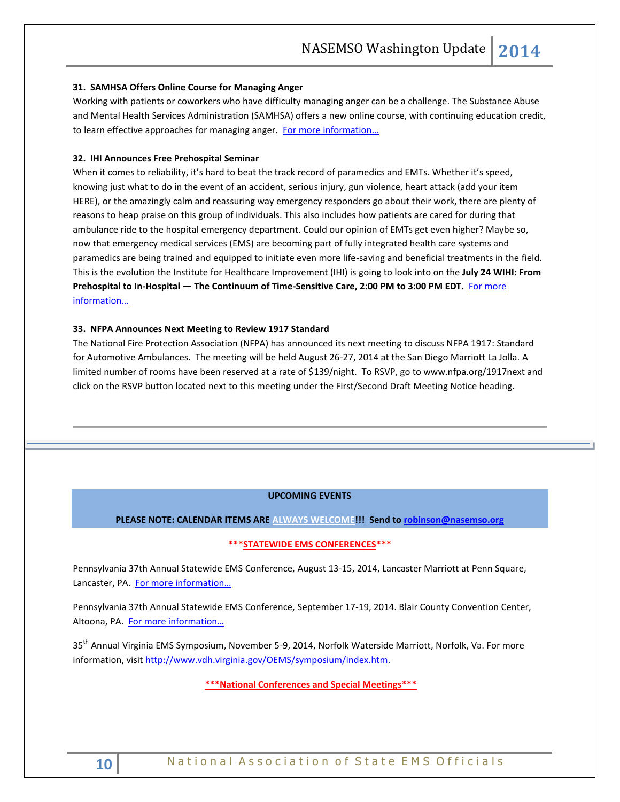### **31. SAMHSA Offers Online Course for Managing Anger**

Working with patients or coworkers who have difficulty managing anger can be a challenge. The Substance Abuse and Mental Health Services Administration (SAMHSA) offers a new online course, with continuing education credit, to learn effective approaches for managing anger. For more information...

## **32. IHI Announces Free Prehospital Seminar**

When it comes to reliability, it's hard to beat the track record of paramedics and EMTs. Whether it's speed, knowing just what to do in the event of an accident, serious injury, gun violence, heart attack (add your item HERE), or the amazingly calm and reassuring way emergency responders go about their work, there are plenty of reasons to heap praise on this group of individuals. This also includes how patients are cared for during that ambulance ride to the hospital emergency department. Could our opinion of EMTs get even higher? Maybe so, now that emergency medical services (EMS) are becoming part of fully integrated health care systems and paramedics are being trained and equipped to initiate even more life-saving and beneficial treatments in the field. This is the evolution the Institute for Healthcare Improvement (IHI) is going to look into on the **July 24 WIHI: From Prehospital to In-Hospital — The Continuum of Time-Sensitive Care, 2:00 PM to 3:00 PM EDT.** [For more](http://www.ihi.org/education/AudioVideo/WIHI/July242014FromPrehospitaltoInHospitalTheContinuumforTimeSensitiveCare/Pages/default.aspx)  [information…](http://www.ihi.org/education/AudioVideo/WIHI/July242014FromPrehospitaltoInHospitalTheContinuumforTimeSensitiveCare/Pages/default.aspx)

## **33. NFPA Announces Next Meeting to Review 1917 Standard**

The National Fire Protection Association (NFPA) has announced its next meeting to discuss NFPA 1917: Standard for Automotive Ambulances. The meeting will be held August 26-27, 2014 at the San Diego Marriott La Jolla. A limited number of rooms have been reserved at a rate of \$139/night. To RSVP, go to www.nfpa.org/1917next and click on the RSVP button located next to this meeting under the First/Second Draft Meeting Notice heading.

## **UPCOMING EVENTS**

#### **PLEASE NOTE: CALENDAR ITEMS ARE ALWAYS WELCOME!!! Send t[o robinson@nasemso.org](mailto:robinson@nasemso.org)**

## **\*\*\*STATEWIDE EMS CONFERENCES\*\*\***

Pennsylvania 37th Annual Statewide EMS Conference, August 13-15, 2014, Lancaster Marriott at Penn Square, Lancaster, PA. [For more information…](http://www.pehsc.org/)

Pennsylvania 37th Annual Statewide EMS Conference, September 17-19, 2014. Blair County Convention Center, Altoona, PA. For more information...

35<sup>th</sup> Annual Virginia EMS Symposium, November 5-9, 2014, Norfolk Waterside Marriott, Norfolk, Va. For more information, visit [http://www.vdh.virginia.gov/OEMS/symposium/index.htm.](http://www.vdh.virginia.gov/OEMS/symposium/index.htm)

**\*\*\*National Conferences and Special Meetings\*\*\***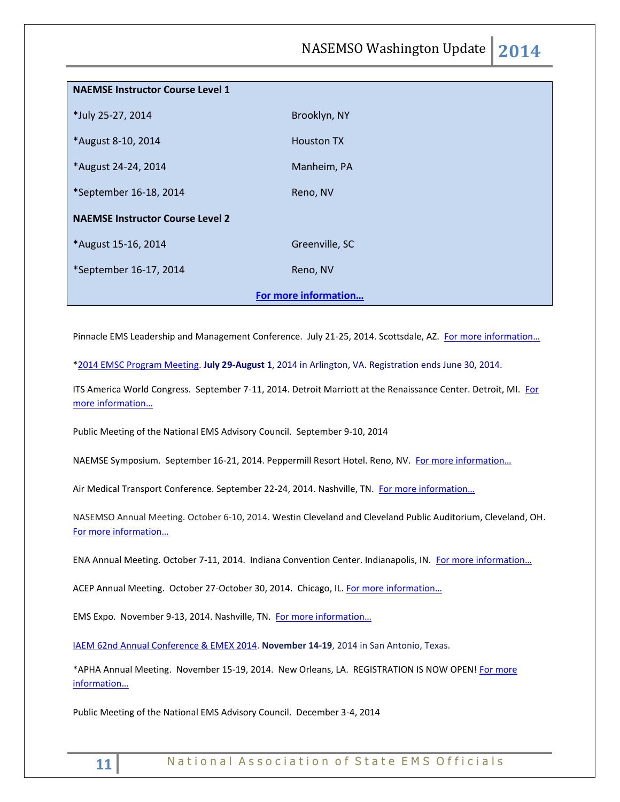NASEMSO Washington Update **2014**

| <b>NAEMSE Instructor Course Level 1</b> |                   |  |
|-----------------------------------------|-------------------|--|
| *July 25-27, 2014                       | Brooklyn, NY      |  |
| *August 8-10, 2014                      | <b>Houston TX</b> |  |
| *August 24-24, 2014                     | Manheim, PA       |  |
| *September 16-18, 2014                  | Reno, NV          |  |
| <b>NAEMSE Instructor Course Level 2</b> |                   |  |
| *August 15-16, 2014                     | Greenville, SC    |  |
| *September 16-17, 2014                  | Reno, NV          |  |
| For more information                    |                   |  |

Pinnacle EMS Leadership and Management Conference. July 21-25, 2014. Scottsdale, AZ. For more information...

[\\*2014 EMSC Program Meeting.](http://r20.rs6.net/tn.jsp?f=0017a16rEY-faAxKJOwcxlWN0Jpa__xXnyjMO4Pf_T7mIwFs3lUIQXD7S9yBXjXfV5A-trOg_oi8XzodEBYN0EXBMoS8V5Sn3JoVTZtkZ3i7JCUuhNQQhfiOs27AAD3kX9i5poaD2Ldnh5_7M1ltsssP3I-aAOokuhzZRrT8DzFptQGJ3MBorjye-ChDoBfv2erR_YELZkB_0HXaM0Rh9y1mGSTwdYjy_Z2aGcbxGYvKPLazzWGWxrpUhBxlQeWhVxq-1JIKINzqccW2dbU9QvbzyynxB0Pi7lb7qFhEyPLbMe5B1FQv-0el9XQ9lwMvwiWW6YI4swPrh36berDtsVKsnfeQct13_6z-0IunVMhmCxlWvGmzakryX4r3kzMmIgPaWHSHAzF51aSBwdpSjnm0s467aCf_zVLeK0HAIYUyTVCwh6vmkst-omkAo-HRDXDIVea76PCZ7MeEYSKNddQ9RiUTbhX_6hYOfusdxlGqLTaLcPj1-iwsDMuGcycxdWkkjUWbbsb6sQ9x9Dv7slfPw==&c=II48-dM8ZHlh_LnaSX47VE6-1dgVbuOCMhyJx5Oi3Cl7QiDNfwC0vg==&ch=r2qhFC4qt5dHUhtMfeDD8_KDaTnahtsAYkNTsQ0wL_ozbainQdNpJQ==) **July 29-August 1**, 2014 in Arlington, VA. Registration ends June 30, 2014.

ITS America World Congress. September 7-11, 2014. Detroit Marriott at the Renaissance Center. Detroit, MI. For [more information…](http://itsworldcongress.org/)

Public Meeting of the National EMS Advisory Council. September 9-10, 2014

NAEMSE Symposium. September 16-21, 2014. Peppermill Resort Hotel. Reno, NV. [For more information…](http://www.naemse.org/symposium/)

Air Medical Transport Conference. September 22-24, 2014. Nashville, TN. For more information...

NASEMSO Annual Meeting. October 6-10, 2014. Westin Cleveland and Cleveland Public Auditorium, Cleveland, OH. [For more information…](http://www.nasemso.org/Meetings/Annual/AnnualMeeting2014.asp)

ENA Annual Meeting. October 7-11, 2014. Indiana Convention Center. Indianapolis, IN. For more information...

ACEP Annual Meeting. October 27-October 30, 2014. Chicago, IL. For more information...

EMS Expo. November 9-13, 2014. Nashville, TN. [For more informa](http://emsworldexpo.com/)tion…

[IAEM 62nd Annual Conference & EMEX 2014.](http://r20.rs6.net/tn.jsp?f=0017a16rEY-faAxKJOwcxlWN0Jpa__xXnyjMO4Pf_T7mIwFs3lUIQXD7ZGWHyXQVyvNTnwLThlXfS1UPKQRzF6qWPZ7VHEHLqgSDtV-qSJdKZG24eCnEWw9xpLPyJ0EY7SJl9-NsTtkMl0762iVcLqRH2ZTCfwAsnrdANYguu58E3lE3pgrzD-3l1J9cDg5Xw1DRhBnLuuT01QHd13Ru9uCItLOBJyXA6Vh&c=II48-dM8ZHlh_LnaSX47VE6-1dgVbuOCMhyJx5Oi3Cl7QiDNfwC0vg==&ch=r2qhFC4qt5dHUhtMfeDD8_KDaTnahtsAYkNTsQ0wL_ozbainQdNpJQ==) **November 14-19**, 2014 in San Antonio, Texas.

\*APHA Annual Meeting. November 15-19, 2014. New Orleans, LA. REGISTRATION IS NOW OPEN! For more [information…](http://www.apha.org/meetings/registration)

Public Meeting of the National EMS Advisory Council. December 3-4, 2014